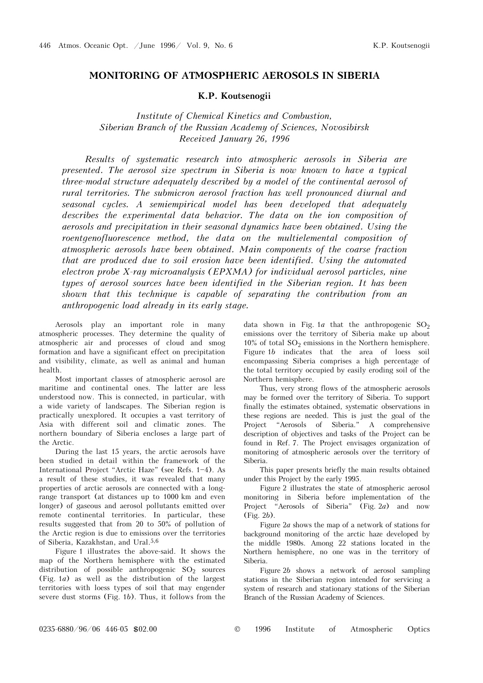## **MONITORING OF ATMOSPHERIC AEROSOLS IN SIBERIA**

**K.P. Koutsenogii** 

*Institute of Chemical Kinetics and Combustion, Siberian Branch of the Russian Academy of Sciences, Novosibirsk Received January 26, 1996* 

*Results of systematic research into atmospheric aerosols in Siberia are presented. The aerosol size spectrum in Siberia is now known to have a typical three-modal structure adequately described by a model of the continental aerosol of rural territories. The submicron aerosol fraction has well pronounced diurnal and seasonal cycles. A semiempirical model has been developed that adequately describes the experimental data behavior. The data on the ion composition of aerosols and precipitation in their seasonal dynamics have been obtained. Using the roentgenofluorescence method, the data on the multielemental composition of atmospheric aerosols have been obtained. Main components of the coarse fraction that are produced due to soil erosion have been identified. Using the automated electron probe X-ray microanalysis (EPXMA) for individual aerosol particles, nine types of aerosol sources have been identified in the Siberian region. It has been shown that this technique is capable of separating the contribution from an anthropogenic load already in its early stage.* 

Aerosols play an important role in many atmospheric processes. They determine the quality of atmospheric air and processes of cloud and smog formation and have a significant effect on precipitation and visibility, climate, as well as animal and human health.

Most important classes of atmospheric aerosol are maritime and continental ones. The latter are less understood now. This is connected, in particular, with a wide variety of landscapes. The Siberian region is practically unexplored. It occupies a vast territory of Asia with different soil and climatic zones. The northern boundary of Siberia encloses a large part of the Arctic.

During the last 15 years, the arctic aerosols have been studied in detail within the framework of the International Project "Arctic Haze" (see Refs. 1-4). As a result of these studies, it was revealed that many properties of arctic aerosols are connected with a longrange transport (at distances up to 1000 km and even longer) of gaseous and aerosol pollutants emitted over remote continental territories. In particular, these results suggested that from 20 to 50% of pollution of the Arctic region is due to emissions over the territories of Siberia, Kazakhstan, and Ural.5,6

Figure 1 illustrates the above-said. It shows the map of the Northern hemisphere with the estimated distribution of possible anthropogenic  $SO_2$  sources (Fig. 1*a*) as well as the distribution of the largest territories with loess types of soil that may engender severe dust storms (Fig. 1*b*). Thus, it follows from the

data shown in Fig. 1*a* that the anthropogenic  $SO<sub>2</sub>$ emissions over the territory of Siberia make up about  $10\%$  of total  $SO_2$  emissions in the Northern hemisphere. Figure 1*b* indicates that the area of loess soil encompassing Siberia comprises a high percentage of the total territory occupied by easily eroding soil of the Northern hemisphere.

Thus, very strong flows of the atmospheric aerosols may be formed over the territory of Siberia. To support finally the estimates obtained, systematic observations in these regions are needed. This is just the goal of the Project "Aerosols of Siberia." A comprehensive description of objectives and tasks of the Project can be found in Ref. 7. The Project envisages organization of monitoring of atmospheric aerosols over the territory of Siberia.

This paper presents briefly the main results obtained under this Project by the early 1995.

Figure 2 illustrates the state of atmospheric aerosol monitoring in Siberia before implementation of the Project "Aerosols of Siberia" (Fig. 2*a*) and now (Fig. 2*b*).

Figure 2*a* shows the map of a network of stations for background monitoring of the arctic haze developed by the middle 1980s. Among 22 stations located in the Northern hemisphere, no one was in the territory of Siberia.

Figure 2*b* shows a network of aerosol sampling stations in the Siberian region intended for servicing a system of research and stationary stations of the Siberian Branch of the Russian Academy of Sciences.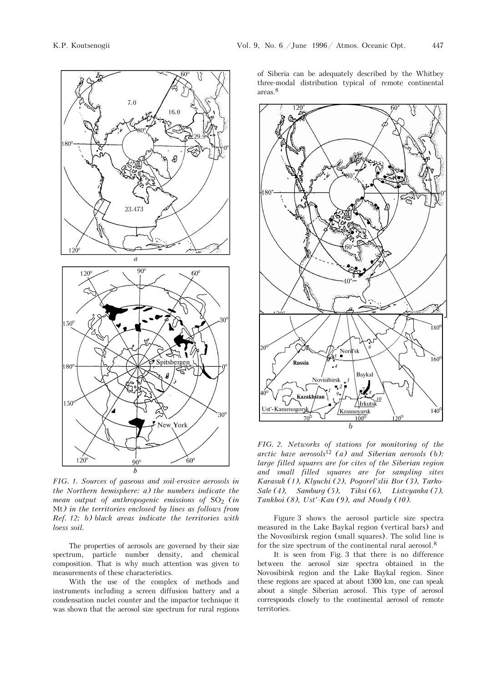

*FIG. 1. Sources of gaseous and soil-erosive aerosols in the Northern hemisphere: a) the numbers indicate the mean output of anthropogenic emissions of*  $SO<sub>2</sub>$  (in Mt*) in the territories enclosed by lines as follows from Ref. 12; b) black areas indicate the territories with loess soil.* 

The properties of aerosols are governed by their size spectrum, particle number density, and chemical composition. That is why much attention was given to measurements of these characteristics.

With the use of the complex of methods and instruments including a screen diffusion battery and a condensation nuclei counter and the impactor technique it was shown that the aerosol size spectrum for rural regions of Siberia can be adequately described by the Whitbey three-modal distribution typical of remote continental areas.8



*FIG. 2. Networks of stations for monitoring of the arctic haze aerosols*12 *(a) and Siberian aerosols (b): large filled squares are for cites of the Siberian region and small filled squares are for sampling sites Karasuk (1), Klyuchi (2), Pogorel'slii Bor (3), Tarko-Sale (4), Samburg (5), Tiksi (6), Listvyanka (7), Tankhoi (8), Ust'-Kan (9), and Mondy (10).* 

Figure 3 shows the aerosol particle size spectra measured in the Lake Baykal region (vertical bars) and the Novosibirsk region (small squares). The solid line is for the size spectrum of the continental rural aerosol.8

It is seen from Fig. 3 that there is no difference between the aerosol size spectra obtained in the Novosibirsk region and the Lake Baykal region. Since these regions are spaced at about 1300 km, one can speak about a single Siberian aerosol. This type of aerosol corresponds closely to the continental aerosol of remote territories.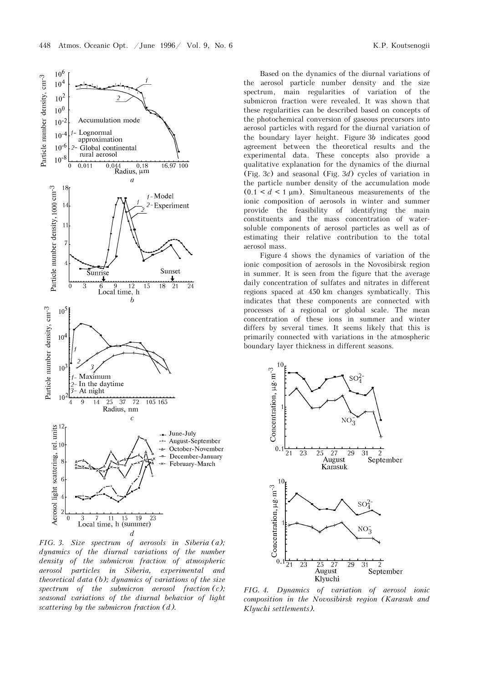

*FIG. 3. Size spectrum of aerosols in Siberia (a); dynamics of the diurnal variations of the number density of the submicron fraction of atmospheric aerosol particles in Siberia, experimental and theoretical data (b); dynamics of variations of the size spectrum of the submicron aerosol fraction (c); seasonal variations of the diurnal behavior of light scattering by the submicron fraction (d).* 

Based on the dynamics of the diurnal variations of the aerosol particle number density and the size spectrum, main regularities of variation of the submicron fraction were revealed. It was shown that these regularities can be described based on concepts of the photochemical conversion of gaseous precursors into aerosol particles with regard for the diurnal variation of the boundary layer height. Figure 3*b* indicates good agreement between the theoretical results and the experimental data. These concepts also provide a qualitative explanation for the dynamics of the diurnal (Fig. 3*c*) and seasonal (Fig. 3*d*) cycles of variation in the particle number density of the accumulation mode  $(0.1 < d < 1 \mu m)$ . Simultaneous measurements of the ionic composition of aerosols in winter and summer provide the feasibility of identifying the main constituents and the mass concentration of watersoluble components of aerosol particles as well as of estimating their relative contribution to the total aerosol mass.

Figure 4 shows the dynamics of variation of the ionic composition of aerosols in the Novosibirsk region in summer. It is seen from the figure that the average daily concentration of sulfates and nitrates in different regions spaced at 450 km changes symbatically. This indicates that these components are connected with processes of a regional or global scale. The mean concentration of these ions in summer and winter differs by several times. It seems likely that this is primarily connected with variations in the atmospheric boundary layer thickness in different seasons.



*FIG. 4. Dynamics of variation of aerosol ionic composition in the Novosibirsk region (Karasuk and Klyuchi settlements).*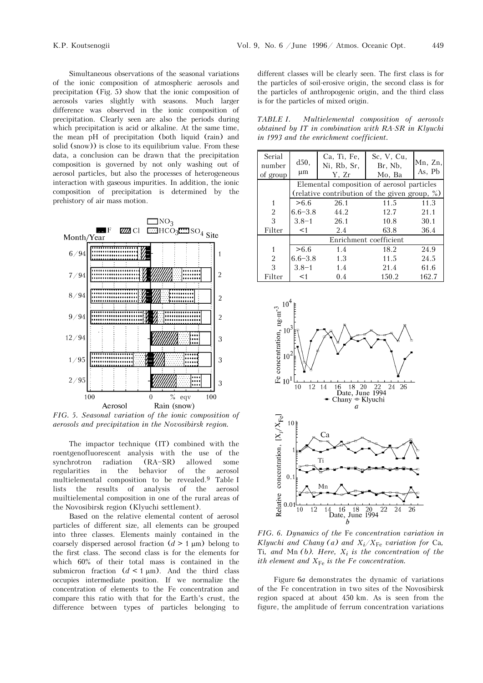Simultaneous observations of the seasonal variations of the ionic composition of atmospheric aerosols and precipitation (Fig. 5) show that the ionic composition of aerosols varies slightly with seasons. Much larger difference was observed in the ionic composition of precipitation. Clearly seen are also the periods during which precipitation is acid or alkaline. At the same time, the mean pH of precipitation (both liquid (rain) and solid (snow)) is close to its equilibrium value. From these data, a conclusion can be drawn that the precipitation composition is governed by not only washing out of aerosol particles, but also the processes of heterogeneous interaction with gaseous impurities. In addition, the ionic composition of precipitation is determined by the prehistory of air mass motion.



*FIG. 5. Seasonal variation of the ionic composition of aerosols and precipitation in the Novosibirsk region.* 

The impactor technique (IT) combined with the roentgenofluorescent analysis with the use of the synchrotron radiation (RA-SR) allowed some regularities in the behavior of the aerosol multielemental composition to be revealed.9 Table I lists the results of analysis of the aerosol muiltielemental composition in one of the rural areas of the Novosibirsk region (Klyuchi settlement).

Based on the relative elemental content of aerosol particles of different size, all elements can be grouped into three classes. Elements mainly contained in the coarsely dispersed aerosol fraction  $(d > 1 \mu m)$  belong to the first class. The second class is for the elements for which 60% of their total mass is contained in the submicron fraction  $(d < 1 \mu m)$ . And the third class occupies intermediate position. If we normalize the concentration of elements to the Fe concentration and compare this ratio with that for the Earth's crust, the difference between types of particles belonging to different classes will be clearly seen. The first class is for the particles of soil-erosive origin, the second class is for the particles of anthropogenic origin, and the third class is for the particles of mixed origin.

*TABLE I. Multielemental composition of aerosols obtained by IT in combination with RA-SR in Klyuchi in 1993 and the enrichment coefficient.* 

| Serial<br>number | d50,<br>$\mu$ m                               | Ca, Ti, Fe,<br>Ni, Rb, Sr, | Sc, V, Cu,<br>Br, Nb, | $Mn$ , $Zn$ ,<br>As, Pb |  |  |  |
|------------------|-----------------------------------------------|----------------------------|-----------------------|-------------------------|--|--|--|
| of group         |                                               | Y, Zr                      | Mo, Ba                |                         |  |  |  |
|                  | Elemental composition of aerosol particles    |                            |                       |                         |  |  |  |
|                  | (relative contribution of the given group, %) |                            |                       |                         |  |  |  |
|                  | > 6.6                                         | 26.1                       | 11.5                  | 11.3                    |  |  |  |
| 2                | $6.6 - 3.8$                                   | 44.2                       | 12.7                  | 21.1                    |  |  |  |
| 3                | $3.8 - 1$<br>-26.1                            |                            | 10.8                  | 30.1                    |  |  |  |
| Filter           | $<$ 1                                         | 2.4                        | 63.8                  | 36.4                    |  |  |  |
|                  | Enrichment coefficient                        |                            |                       |                         |  |  |  |
| 1                | > 6.6                                         | 1.4                        | 18.2                  | 24.9                    |  |  |  |
| $\overline{2}$   | $6.6 - 3.8$                                   | 1.3                        | 11.5                  | 24.5                    |  |  |  |
| 3                | $3.8 - 1$                                     | 1.4                        | 21.4                  | 61.6                    |  |  |  |
| Filter           | $<$ 1                                         | 0.4                        | 150.2                 | 162.7                   |  |  |  |



*FIG. 6. Dynamics of the* Fe *concentration variation in Klyuchi and Chany (a) and*  $X_i/X_{\text{Fe}}$  *variation for Ca,* Ti, and Mn  $(b)$ . Here,  $X_i$  is the concentration of the *ith element and*  $X_{Fe}$  *is the Fe concentration.* 

Figure 6*a* demonstrates the dynamic of variations of the Fe concentration in two sites of the Novosibirsk region spaced at about 450 km. As is seen from the figure, the amplitude of ferrum concentration variations